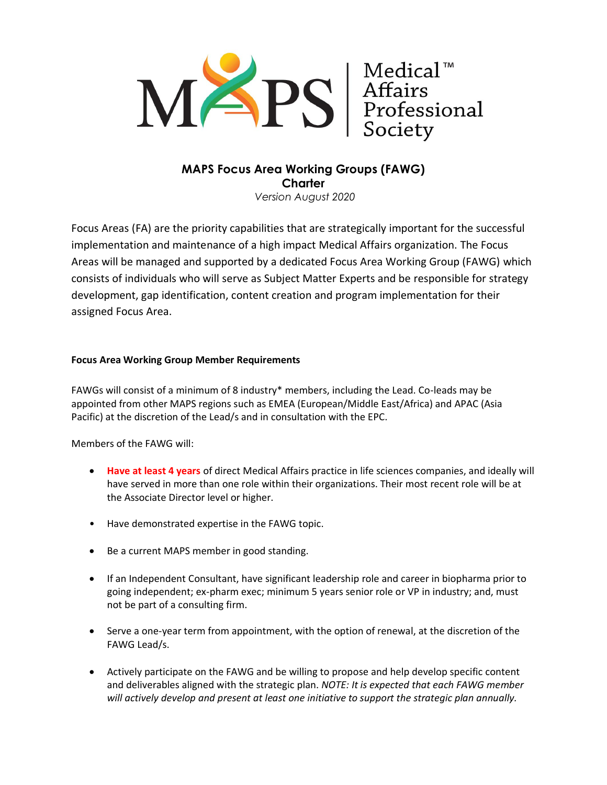

# **MAPS Focus Area Working Groups (FAWG) Charter**

*Version August 2020*

Focus Areas (FA) are the priority capabilities that are strategically important for the successful implementation and maintenance of a high impact Medical Affairs organization. The Focus Areas will be managed and supported by a dedicated Focus Area Working Group (FAWG) which consists of individuals who will serve as Subject Matter Experts and be responsible for strategy development, gap identification, content creation and program implementation for their assigned Focus Area.

### **Focus Area Working Group Member Requirements**

FAWGs will consist of a minimum of 8 industry\* members, including the Lead. Co-leads may be appointed from other MAPS regions such as EMEA (European/Middle East/Africa) and APAC (Asia Pacific) at the discretion of the Lead/s and in consultation with the EPC.

Members of the FAWG will:

- **Have at least 4 years** of direct Medical Affairs practice in life sciences companies, and ideally will have served in more than one role within their organizations. Their most recent role will be at the Associate Director level or higher.
- Have demonstrated expertise in the FAWG topic.
- Be a current MAPS member in good standing.
- If an Independent Consultant, have significant leadership role and career in biopharma prior to going independent; ex-pharm exec; minimum 5 years senior role or VP in industry; and, must not be part of a consulting firm.
- Serve a one-year term from appointment, with the option of renewal, at the discretion of the FAWG Lead/s.
- Actively participate on the FAWG and be willing to propose and help develop specific content and deliverables aligned with the strategic plan. *NOTE: It is expected that each FAWG member will actively develop and present at least one initiative to support the strategic plan annually.*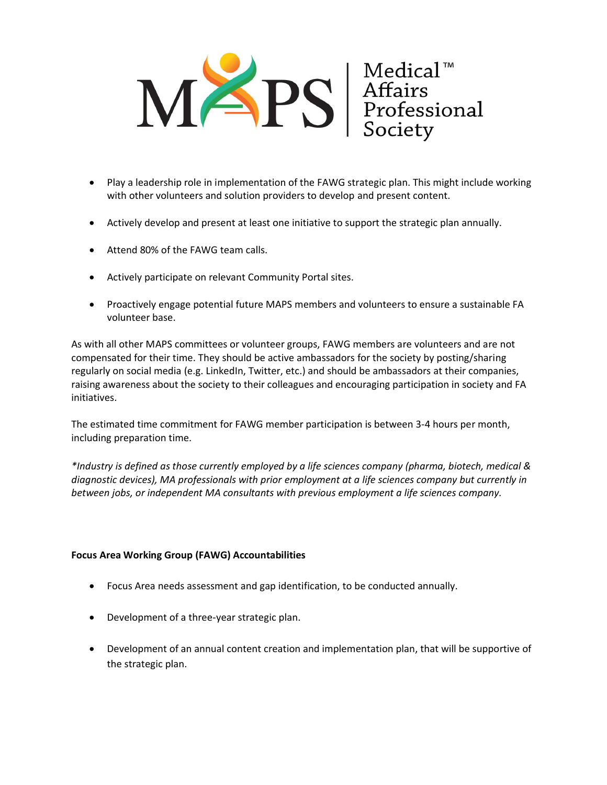

- Play a leadership role in implementation of the FAWG strategic plan. This might include working with other volunteers and solution providers to develop and present content.
- Actively develop and present at least one initiative to support the strategic plan annually.
- Attend 80% of the FAWG team calls.
- Actively participate on relevant Community Portal sites.
- Proactively engage potential future MAPS members and volunteers to ensure a sustainable FA volunteer base.

As with all other MAPS committees or volunteer groups, FAWG members are volunteers and are not compensated for their time. They should be active ambassadors for the society by posting/sharing regularly on social media (e.g. LinkedIn, Twitter, etc.) and should be ambassadors at their companies, raising awareness about the society to their colleagues and encouraging participation in society and FA initiatives.

The estimated time commitment for FAWG member participation is between 3-4 hours per month, including preparation time.

*\*Industry is defined as those currently employed by a life sciences company (pharma, biotech, medical & diagnostic devices), MA professionals with prior employment at a life sciences company but currently in between jobs, or independent MA consultants with previous employment a life sciences company.*

#### **Focus Area Working Group (FAWG) Accountabilities**

- Focus Area needs assessment and gap identification, to be conducted annually.
- Development of a three-year strategic plan.
- Development of an annual content creation and implementation plan, that will be supportive of the strategic plan.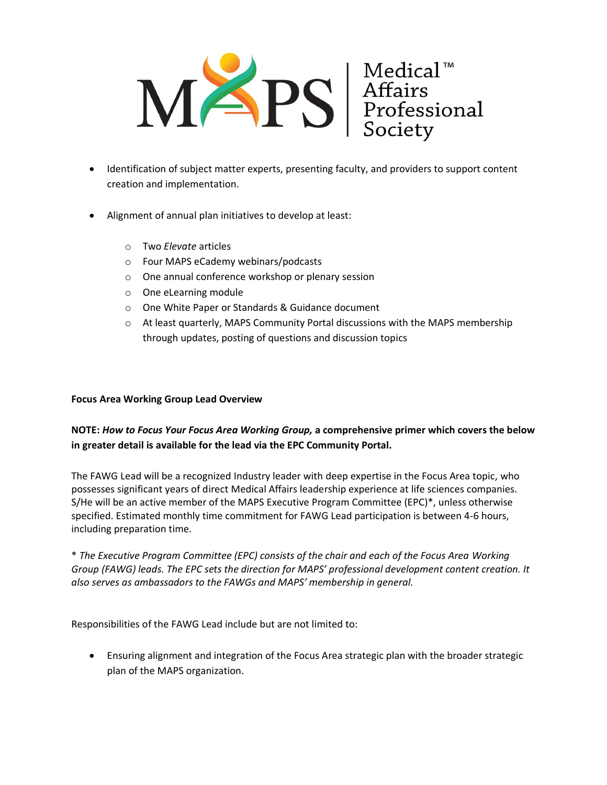

- Identification of subject matter experts, presenting faculty, and providers to support content creation and implementation.
- Alignment of annual plan initiatives to develop at least:
	- o Two *Elevate* articles
	- o Four MAPS eCademy webinars/podcasts
	- o One annual conference workshop or plenary session
	- o One eLearning module
	- o One White Paper or Standards & Guidance document
	- $\circ$  At least quarterly, MAPS Community Portal discussions with the MAPS membership through updates, posting of questions and discussion topics

#### **Focus Area Working Group Lead Overview**

## **NOTE:** *How to Focus Your Focus Area Working Group,* **a comprehensive primer which covers the below in greater detail is available for the lead via the EPC Community Portal.**

The FAWG Lead will be a recognized Industry leader with deep expertise in the Focus Area topic, who possesses significant years of direct Medical Affairs leadership experience at life sciences companies. S/He will be an active member of the MAPS Executive Program Committee (EPC)\*, unless otherwise specified. Estimated monthly time commitment for FAWG Lead participation is between 4-6 hours, including preparation time.

\* *The Executive Program Committee (EPC) consists of the chair and each of the Focus Area Working Group (FAWG) leads. The EPC sets the direction for MAPS' professional development content creation. It also serves as ambassadors to the FAWGs and MAPS' membership in general.*

Responsibilities of the FAWG Lead include but are not limited to:

• Ensuring alignment and integration of the Focus Area strategic plan with the broader strategic plan of the MAPS organization.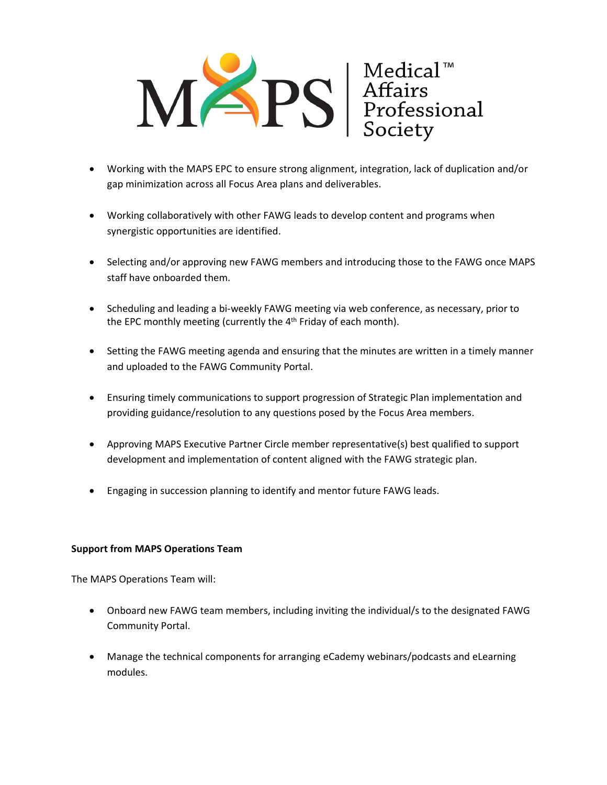

- Working with the MAPS EPC to ensure strong alignment, integration, lack of duplication and/or gap minimization across all Focus Area plans and deliverables.
- Working collaboratively with other FAWG leads to develop content and programs when synergistic opportunities are identified.
- Selecting and/or approving new FAWG members and introducing those to the FAWG once MAPS staff have onboarded them.
- Scheduling and leading a bi-weekly FAWG meeting via web conference, as necessary, prior to the EPC monthly meeting (currently the 4<sup>th</sup> Friday of each month).
- Setting the FAWG meeting agenda and ensuring that the minutes are written in a timely manner and uploaded to the FAWG Community Portal.
- Ensuring timely communications to support progression of Strategic Plan implementation and providing guidance/resolution to any questions posed by the Focus Area members.
- Approving MAPS Executive Partner Circle member representative(s) best qualified to support development and implementation of content aligned with the FAWG strategic plan.
- Engaging in succession planning to identify and mentor future FAWG leads.

#### **Support from MAPS Operations Team**

The MAPS Operations Team will:

- Onboard new FAWG team members, including inviting the individual/s to the designated FAWG Community Portal.
- Manage the technical components for arranging eCademy webinars/podcasts and eLearning modules.